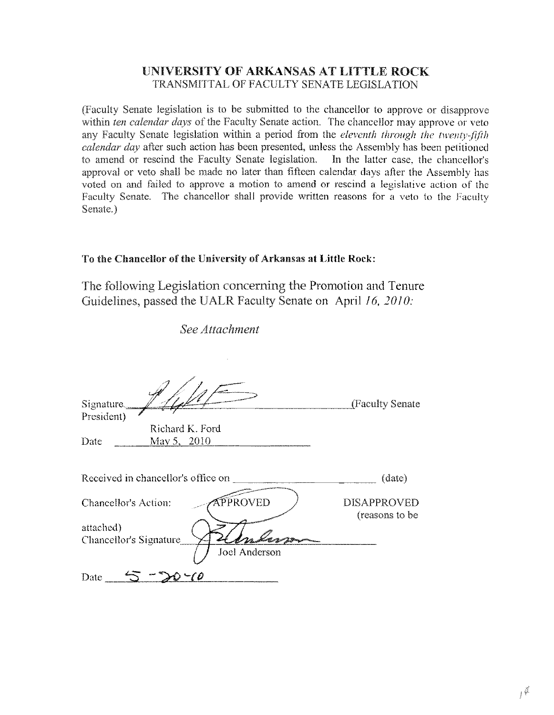## UNIVERSITY OF ARKANSAS AT LITTLE ROCK TRANSMITTAL OF FACULTY SENATE LEGISLATION

(Faculty Senate legislation is to be submitted to the chancellor to approve or disapprove within *ten calendar days* of the Faculty Senate action. The chancellor may approve or veto Faculty Senate legislation within a period from the *eleventh through the twentv:fif/h calendar day* after such action has been presented, unless the Assembly has been petitioned to amend or rescind the Faculty Senate legislation. In the latter case, the chancellor's approval or veto shall be made no later than fifteen calendar days after the Assembly has voted on and failed to approve a motion to amend or rescind a legislative action of the Faculty Senate. The chancellor shall provide written reasons for a veto to the Faculty Senate.)

## To the Chancellor of the University of Arkansas **at Little** Rock:

The following Legislation conceming the Promotion and Tenure Guidelines, passed the UALR Faculty Senate on April J6. *20*J*0:*

*See Attachment*

| Signature<br>President)           |                                    | (Faculty Senate                      |
|-----------------------------------|------------------------------------|--------------------------------------|
|                                   | Richard K. Ford                    |                                      |
| Date                              | May 5, 2010                        |                                      |
|                                   | Received in chancellor's office on | (date)                               |
| Chancellor's Action:<br>attached) | <b>PPROVED</b>                     | <b>DISAPPROVED</b><br>(reasons to be |
| Chancellor's Signature            | Joel Anderson                      |                                      |
| Date                              |                                    |                                      |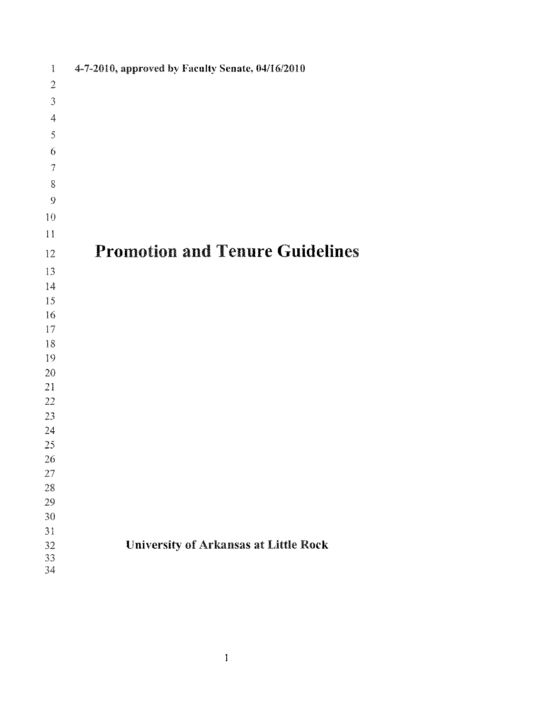| $\overline{\phantom{a}}$    | 4-7-2010, approved by Faculty Senate, 04/16/2010 |
|-----------------------------|--------------------------------------------------|
| $\sqrt{2}$                  |                                                  |
| $\ensuremath{\mathfrak{I}}$ |                                                  |
| $\boldsymbol{4}$            |                                                  |
| $\bar{5}$                   |                                                  |
| $\boldsymbol{6}$            |                                                  |
| $\overline{\mathcal{I}}$    |                                                  |
| 8                           |                                                  |
| $\boldsymbol{9}$            |                                                  |
| 10                          |                                                  |
| $\mathbf{H}$                |                                                  |
| 12                          | <b>Promotion and Tenure Guidelines</b>           |
| 13                          |                                                  |
| 14                          |                                                  |
| 15                          |                                                  |
| 16                          |                                                  |
| 17                          |                                                  |
| 18                          |                                                  |
| 19                          |                                                  |
| 20                          |                                                  |
| 21                          |                                                  |
| 22                          |                                                  |
| 23                          |                                                  |
| 24                          |                                                  |
| 25                          |                                                  |
| 26                          |                                                  |
| 27                          |                                                  |
| 28                          |                                                  |
| 29                          |                                                  |
| 30                          |                                                  |
| $31\,$                      |                                                  |
| 32                          | <b>University of Arkansas at Little Rock</b>     |
| $33\,$                      |                                                  |
| 34                          |                                                  |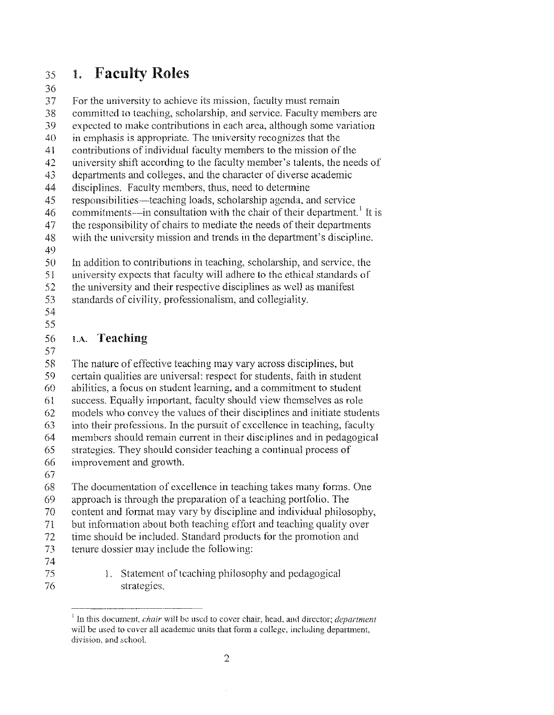#### 35 1. Faculty Roles

### 36

37 For the university to achieve its mission, faculty must remain

38 committed to teaching, scholarship, and service, Faculty members arc

39 expected to make contributions in eaeh area, althongh some variation

40 in emphasis is appropriate, The nniversity recognizes that the

41 contributions of individual faculty members to the mission of the

42 university shift according to the faculty member's talents, the needs of

43 departments and colleges, and the character of diverse academic

44 disciplines, Faculty members, thus, need to determine

45 responsibilities—teaching loads, scholarship agenda, and service

46 commitments—in consultation with the chair of their department.<sup>1</sup> It is

47 the responsibility of chairs to mediate the needs of their departments

48 with the university mission and trends in the department's discipline.

49

50 In addition to contributions in teaching, scholarship, and service, the

51 university expects that faculty will adhere to the ethical standards of

52 the university and their respective disciplines as well as manifest

53 standards of civility, professionalism, and collegiality,

54

### 55

#### 56 LA, Teaching

57

58 59 60 61 62 63 64 65 66 67 The nature of effective teaching may vary across disciplines, but ertain qualities are universal: respect for students, faith in student abilities, a focus on student learning, and a commitment to student success, Equally important, faculty should view themselves as role models who convey the values of their disciplines and initiate students into their professions. In the pursuit of excellence in teaching, faculty membcrs should remain current in their disciplines and in pedagogical stratcgies, They should consider teaching a continual process of improvement and growth.

68 The documentation of excellence in teaching takes many forms. One

69 approach is through the preparation of a tcaching portfolio, The

70 content and format may vary by discipline and individual philosophy,

71 but information about both teaching effort and teaching quality over

72 time should be included. Standard products for the promotion and

- 73 tenurc dossier may include the following:
- 74 75

76

1. Statement of teaching philosophy and pedagogical strategies,

<sup>-------,&</sup>quot;'--- <sup>I</sup> In this document, *chair* will be used to cover chair, head, and director; *department* will be used to cover all academic units that form a college, including department, division, and school.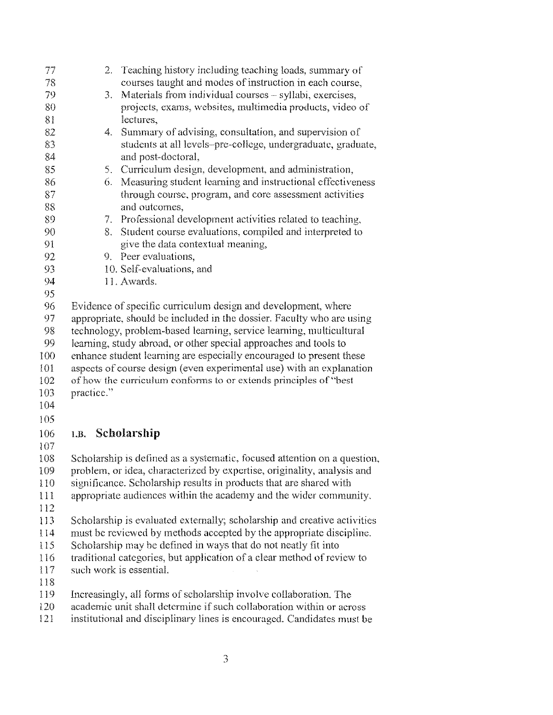| 77      | Teaching history including teaching loads, summary of<br>$\mathcal{Z}_{\mathcal{C}}$ |
|---------|--------------------------------------------------------------------------------------|
| 78      | courses taught and modes of instruction in each course,                              |
| 79      | Materials from individual courses - syllabi, exercises,<br>3.                        |
| 80      | projects, exams, websites, multimedia products, video of                             |
| 81      | lectures.                                                                            |
| 82      | Summary of advising, consultation, and supervision of<br>4.                          |
| 83      | students at all levels-pre-college, undergraduate, graduate,                         |
| 84      | and post-doctoral,                                                                   |
| 85      | Curriculum design, development, and administration,<br>5.                            |
| 86      | 6. Measuring student learning and instructional effectiveness                        |
| 87      | through course, program, and core assessment activities                              |
| 88      | and outcomes,                                                                        |
| 89      | 7. Professional development activities related to teaching,                          |
| 90      | Student course evaluations, compiled and interpreted to<br>8.                        |
| 91      | give the data contextual meaning,                                                    |
| 92      | 9. Peer evaluations,                                                                 |
| 93      | 10. Self-evaluations, and                                                            |
| 94      | 11. Awards.                                                                          |
| 95      |                                                                                      |
| 96      | Evidence of specific curriculum design and development, where                        |
| 97      | appropriate, should be included in the dossier. Faculty who are using                |
| 98      | technology, problem-based learning, service learning, multicultural                  |
| 99      | learning, study abroad, or other special approaches and tools to                     |
| 100     | enhance student learning are especially encouraged to present these                  |
| 101     | aspects of course design (even experimental use) with an explanation                 |
| 102     | of how the curriculum conforms to or extends principles of "best                     |
| 103     | practice."                                                                           |
| 104     |                                                                                      |
| 105     |                                                                                      |
| 106     | 1.B. Scholarship                                                                     |
| 107     |                                                                                      |
| 108     | Scholarship is defined as a systematic, focused attention on a question,             |
| 109     | problem, or idea, characterized by expertise, originality, analysis and              |
| 110     | significance. Scholarship results in products that are shared with                   |
| $\prod$ | appropriate audiences within the academy and the wider community.                    |
| 112     |                                                                                      |
| 113     | Scholarship is evaluated externally; scholarship and creative activities             |
| 114     | must be reviewed by methods accepted by the appropriate discipline.                  |
| 115     | Scholarship may be defined in ways that do not neatly fit into                       |
| 116     | traditional categories, but application of a clear method of review to               |
| 117     | such work is essential.                                                              |
| 118     |                                                                                      |
| 119     | Increasingly, all forms of scholarship involve collaboration. The                    |
| 120     | academic unit shall determine if such collaboration within or across                 |
| 121     | institutional and disciplinary lines is encouraged. Candidates must be               |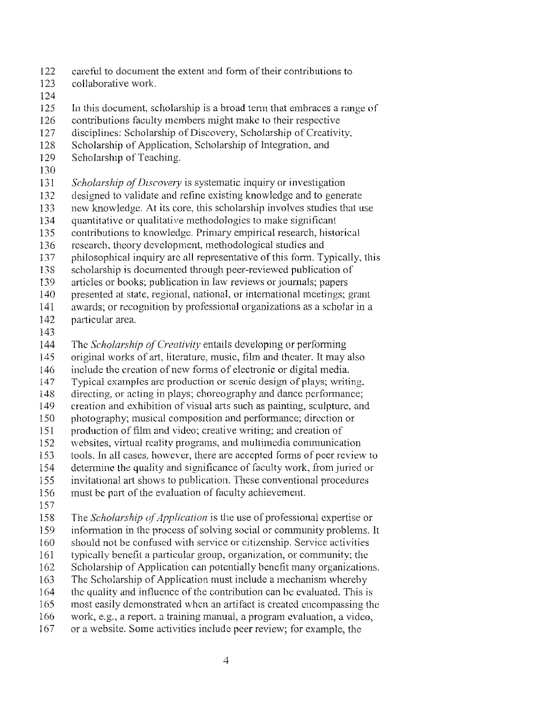- 122 careful to document the extent and form of their contributions to
- 123 collaborative work.
- 124
- 125 In this document, scholarship is a broad term that embraces a range of
- 126 contributions faculty members might make to their respective
- 127 disciplines: Scholarship of Discovery, Scholarship of Creativity,
- 128 Scholarship of Application, Scholarship of Integration, and
- 129 Scholarship of Teaching.
- 130
- ]3] *Scholarship ofDiscovery* is systematic inquiry or investigation
- 132 designed to validate and refine existing knowledge and to generate
- 133 new knowledge. At its core, this scholarship involves studies that use
- 134 quantitative or qualitative methodologies to make significant
- 135 contributions to knowledge Primary empirical rescarch, historical
- 136 research, theory development, methodological studies and
- 137 philosophical inquiry are all representative of this form. Typically, this
- 138 scholarship is documented through peer-reviewed publication of
- 139 articles or books; publication law reviews or joumals; papers
- 140 presented at statc, rcgional, national, or intemational meetings; grant
- 141 awards; or recognition by professional organizations as a scholar in a
- J42 particular area.
- 143
- 144 The *Scholarship ofCreativity* entails dcveloping or performing
- 145 original works of art, literature, music, film and theater. It may also
- 146 include the creation of new forms of electronic or digital media.<br>147 Typical examples are production or scenic design of plays; writi
- Typical examples are production or scenic design of plays; writing,
- 148 directing, or acting in plays; choreography and dance performance;
- 149 creation and exhibition of visual arts such as painting, sculpture, and
- 150 photography; musical composition and performance; direction or
- 151 production of film and video; creative writing; and creation of
- 152 websites, virtual reality programs, and multimedia communication
- 153 tools. In all cases, however, there are accepted forms of peer review to
- 154 determine the quality and significance of faculty work, from juried or
- 155 invitational art shows to publication. These conventional procedures
- 156 must be part of the evaluation of faculty achievement.
- 157
- 158 The *Scholarship of Application* is the use of professional expertise or
- 159 infonnation in thc process ofsolving socia! or community problems. It
- 160 should not be confused with service or citizenship. Service activities
- 161 typically benefit a particular group, organization, or community; thc
- 162 Scholarship of Application can potentially benefit many organizations.
- 163 The Scholarship of Application must include a mechanism whereby
- 164 the quality and influence of the contribution can be evaluated. This is
- 165 most easily demonstrated whcn an artifact is creatcd encompassing thc
- 166 work, e.g., a report, a training manual, a program evaluatiou, a video,
- 167 or a website. Some activities include pcer rcvicw; for example, the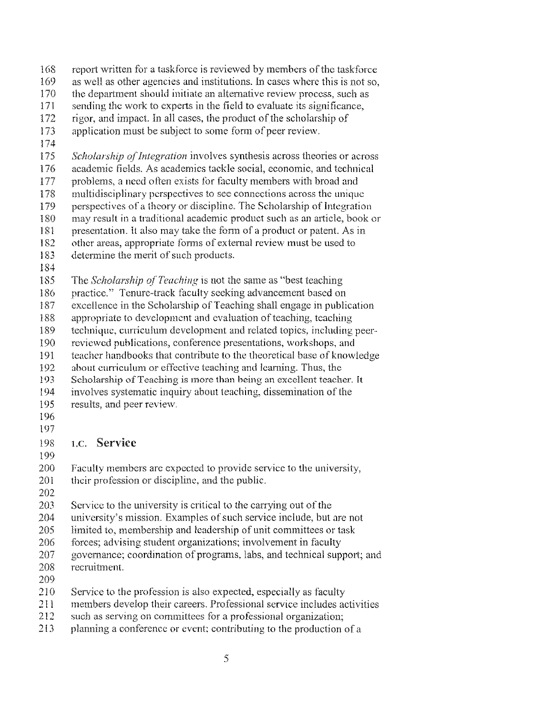- 168 report written for a task force is reviewed by members of the taskforce
- 169 as well as other agencies and institutions. In cases where this is not so,
- 170 the department should initiate an alternative review process, such as
- 171 sending the work to experts in the field to evaluate its significance,
- 172 rigor, and impact. In all cases, the product of the scholarship of
- 173 application must be subject to some form of peer review.
- l74
- 175 *Scholarship of Integration* involves synthesis across theories or across
- 176 academic fields. As academics tackle social, economic, and technical
- 177 problems, a need often exists for faculty members with broad and
- 178 multidisciplinary perspectives to sec connections across the unique
- 179 perspectives of a theory or discipline. The Scholarship of Integration<br>180 may result in a traditional academic product such as an article, book of
- may result in a traditional academic product such as an article, book or
- 181 presentation. It also may take the form of a product or patent. As in<br>182 other areas, appropriate forms of external review must be used to
- other areas, appropriate forms of external review must be used to
- 183 determine the merit of such products.
- 184
- 185 The *Scholarship of Teaching* is not the same as "best teaching"
- 186 practice." Tenure-track faculty seeking advancement based on
- 187 excellence in the Scholarship of Teaching shall engage in publication
- 188 appropriate to development and evaluation of teaching, teaching
- 189 technique, curriculum devclopment and related topics, including peer-
- 190 reviewed publications, conference presentations, workshops, and
- 191 teacher handbooks that contribute to the theoretical base of knowledge
- 192 about curriculum or effective teaching and learning. Thus, the
- 193 Scholarship ofTeaehing is more than being an excellent teaeher. It
- 194 involves systematic inquiry about teaching, dissemination of the
- 195 results, and peer review.
- 196
- 197

### 198 1.C. Service

- 199
- 200 Faculty members are expected to provide service to the university,
- 201 their profession or discipline, and the public.
- 202
- $203$  Service to the university is critical to the carrying out of the
- 204 university's mission. Examples of such service include, but are not
- 205 limited to, membership and leadership of unit committees or task
- 206 forces; advising student organizations; involvement in faculty
- 207 governance; coordination of programs, labs, and technical support; and
- 208 recruitment.
- 209
- 2I0 Service to tbe profession is also expected, especially as faculty
- 211 members develop their careers. Professional service includes aetivities
- 2I2 such as serving on eommittees for a professional organization;
- 213 planning a conference or event; contributing to the production of a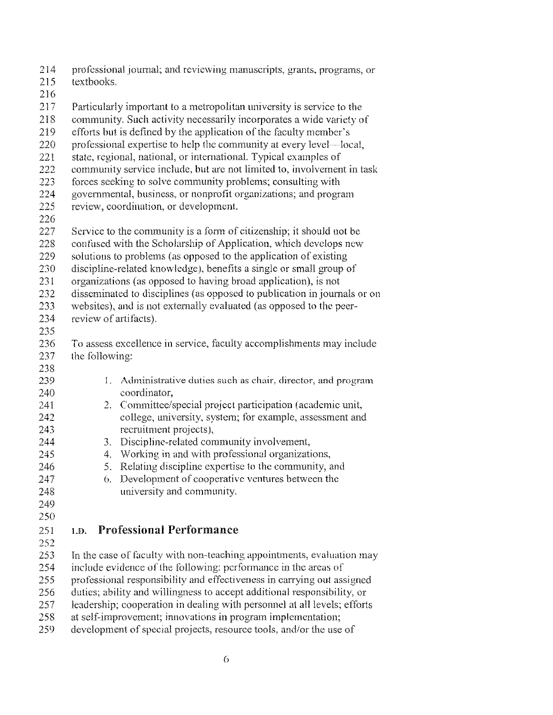- prolcssional journal; and reviewing manuseripts, grants, programs, or
- textbooks.
- 
- Particularly important to a metropolitan university is service to the
- 218 community. Such activity necessarily incorporates a wide variety of
- 219 efforts but is defined by the application of the faculty member's
- 220 professional expertise to help the community at every level—local,
- 221 state, regional, national, or international. Typical examples of
- 222 community service include, but are not limited to, involvement in task
- forees seeking to solve community problems; consulting with
- governmental, business, or nonprofit organizations; and program
- review, coordination, or development.
- 
- 227 Service to the community is a form of citizenship; it should not be
- 228 confused with the Scholarship of Application, which develops new
- solutions to problems (as opposed to the application of existing
- discipline-related knowledge), benefits a single or small group of
- organizations (as opposed to having broad application), is not
- disseminated to disciplines (as opposed to publication in journals or on
- websites), and is not externally evaluated (as opposed to the peer-
- review of artifacts).
- 
- To assess excellence in scrviee, faculty accomplishments may include the following:
- 239 1. Administrative duties such as chair, director, and program eoordinator,
- 241 2. Committee/special project participation (academic unit, college, university, system; for example, assessment and recruitment projects),
- 3. Discipline-related community involvement,
- 4. Working in and with professional organizations,
- 5, Relating discipline expertise to the community, and
- 247 6. Development of cooperative ventures between the university and community.
- 
- 

## LD, Professional Performance

- 
- 253 In the case of faculty with non-teaching appointments, evaluation may
- include evidence of the following: performance in the areas of
- professional responsibility and effectiveness in carrying out assigned
- duties; ability and wiUingness to accept additional responsibility, or
- 257 leadership; cooperation in dealing with personnel at all levels; efforts
- at self-improvement; innovations in program implementation;
- 259 development of special projects, resource tools, and/or the use of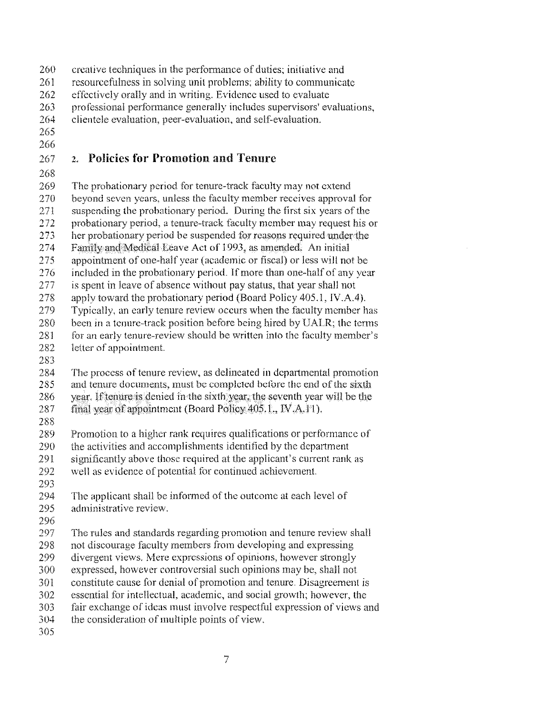- 260 creative techniques in the performance of duties; initiative and
- 261 resourcefulness in solving unit problems; ability to communicate
- 262 effectively orally and in writing. Evidence used to evaluate<br>263 orofessional performance generally includes supervisors' ev
- 263 professional performance generally includes supervisors' evaluations,
- 264 clientele evaluation, peer-evaluation, and self-evaluation.
- 265

### 266

## 267 2. Policies for Promotion and Tenure

268

269 The probationary period for tenure-track faculty may not extend 270 beyond seven years, unless the faeulty member receives approval for

- 271 suspending the probationary period. During the first six years of the
- 272 probationary period, a tenure-track faculty member may request his or
- 273 her probationary period be suspended for reasons required under the
- 274 Family and Medical Leave Act of 1993, as amended. An initial
- 
- 275 appointment of one-half year (academic or fiscal) or less will not be<br>276 included in the probationary period. If more than one-half of any year included in the probationary period. If more than one-half of any year
- 277 is spent in leave of absence without pay status, that year shalJ not
- 278 apply toward the probationary period (Board Policy 405.1, IV.A.4).
- 279 Typically, an early tenure review occurs wheu the faculty mcmber has
- 280 been in a tenure-track position before being hired by UALR; the terms
- 281 for an early tenure-review should be written into the faculty member's
- 282 letter of appointment.
- 283
- 284 The process of tenure review, as delineated in departmental promotion
- 285 and tenure documents, must be completed before the end of the sixth
- $286$  vear. If tenure is denied in the sixth year, the seventh year will be the
- 287 final year of appointment (Board Policy 405.1, IV.A.11).
- 288<br>289
- Promotion to a higher rank requires qualifications or performance of
- $290$  the activities and accomplishments identified by the department
- 291 significantly above those required at the applicant's current rank as
- 292 well as evidence of potential for continued achievement.
- 293<br>294
- The applicant shall be informed of the outcome at each level of 295 administrative review.
- 296
- 297 The rules and standards regarding promotion and tenure review shall
- 298 not discourage faculty members from developing and expressing
- 299 divergent views. Mere expressions of opinions, however strongly
- 300 expressed, however controversial such opinions may be, shall not
- 301 constitute cause for denial of promotion and tenure. Disagreement is
- 302 essential for intellectual, academic, and social growth; however, the
- 303 fair exchange of ideas must involve respectful expression of views and
- 304 the consideration of multiple points of view.
- 305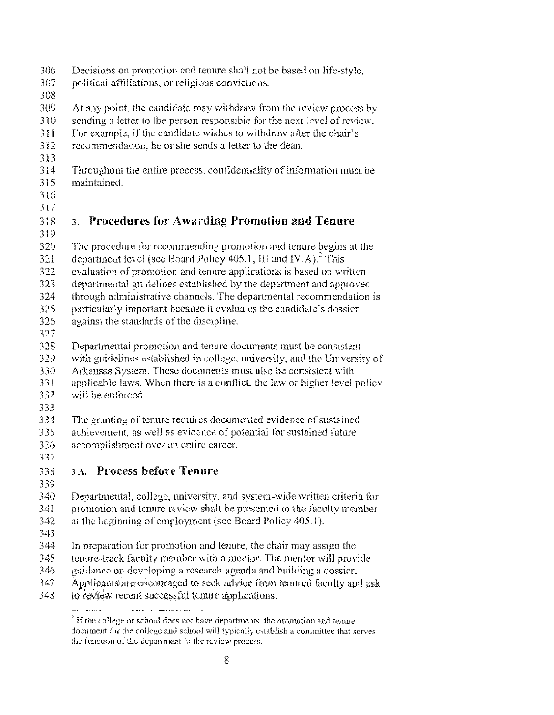- 306 Decisions on promotion and tenure shall not be based on life-style,
- 307 political affiliations, or religious convictions,
- 308
- 309 At any point, the candidate may withdraw from the review process by
- 310 sending a letter to the person responsible for the next level of review.
- 311 For example, if the candidate wishes to withdraw after the chair's
- 312 recommendation, he or she sends a letter to the dean,
- 313
- 314 Throughout the entire process, confidentiality of information must be
- 315 maintained,
- 316 317

### 318 3. Procedm'es for Awarding Promotion and Tenure

- 319
- 320 The procedure for recommending promotion and tenure begins at the
- 321 department level (see Board Policy 405.1, III and IV, A).<sup>2</sup> This
- 322 evaluation of promotion and tenure applications is based on written
- 323 departmental guidelines established by the department and approved
- 324 through administrative channels. The departmental recommendation is
- 325 particularly important because it evaluates the candidate's dossier
- 326 against the standards of the discipline.
- 327
- 328 Departmental promotion and tenure documents must be consistent
- 329 with guidelines established in college, university, and the University of
- 330 Arkansas System, These documents must also be consistent with
- 331 applicable laws. When there is a conflict, the law or higher level policy
- 332 will be enforced.
- 333

334 The granting of tenure requires documented evidence of sustained

- 335 336 achievement, as well as evidence of potential tor sustained future accomplishment over an entire career.
- 337
- 333 3.1\. Process before Tenure
- 339

- 340 Departmental, college, university, and system-wide written criteria for
- 341 promotion and tenure review shall be presented to the faculty member
- 342 at the beginning of employment (see Board Policy 405.1).
- 343
- 344 In preparation for promotion and tenure, the chair may assign the
- 345 tenure-track faculty member with a mentor. The mentor will provide
- 346 guidance on developing a research agenda and building a dossier.
- 347 Applicants are encouraged to seek advice from tenured faculty and ask
- 348 to review recent successful tenure applications.

 $2$  If the college or school does not have departments, the promotion and tenure document for the college and school will typically establish a committee that serves the function of the department in the review process.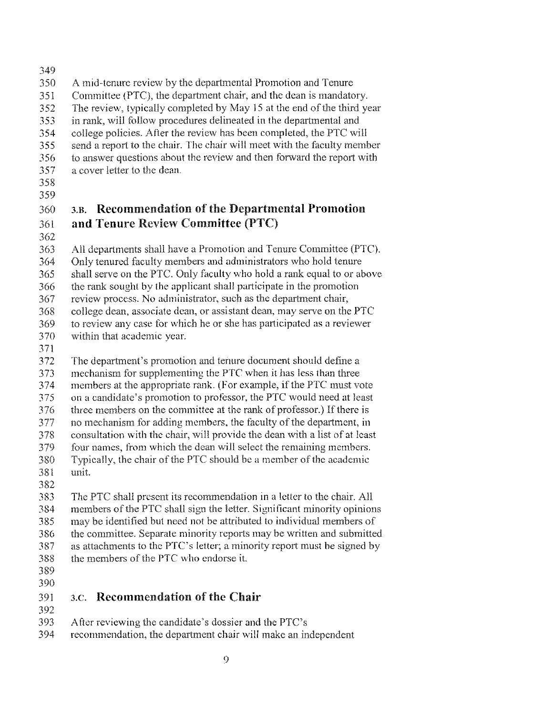- 
- A mid-tenure review by the departmental Promotion and Tenure
- Committee (PTC), the department chair, and the dean is mandatory.
- 352 The review, typically completed by May 15 at the end of the third year
- 353 in rank, will follow procedures delineated in the departmental and
- college polieies. After the review has been completed, the PTC will
- send a report to the chair. The chair will meet with the faeulty member
- to answer questions about the review and then forward the report with
- a eover letter to the dean.
- 

## 3.n. Recommendation of the Departmental Promotion and **Tenure** Review Committee (PTC)

All departments shall have a Promotion and Tenure Committee (PTC).

- Only tenured faculty members and administrators who hold tenure
- shall serve on the PTC. Only faculty who hold a rank equal to or above
- the rank sought by the applicant shall participate in the promotion
- review process. No administrator, sueh as the department chair,
- eollege dean, associate dean, or assistant dean, may serve on the PTC
- 369 to review any case for which he or she has participated as a reviewer
- 370 within that academic year.
- 

Thc department's promotion and tenure document should define a

- mechanism for supplementing the PTC when it has less than three
- 374 members at the appropriate rank. (For example, if the PTC must vote
- on a candidate's promotion to professor, the PTC would need at least
- 376 three members on the committee at the rank of professor.) If there is
- 377 no mechanism for adding members, the faculty of the department, in 378 consultation with the chair, will provide the dean with a list of at least
- 379 four names, from which the dean will select the remaining members.
- 380 Typically, the chair of the PTC should be a member of the academic
- 38t unit
- 

 The PTC shall present its recommendation in a letter to the chair. All 384 members of the PTC shall sign the letter. Significant minority opinions

- may be identified but need not be attributed to individual members of
- the committee. Separate minority reports may be written and submitted
- 387 as attachments to the PTC's letter; a minority report must be signed by
- 388 the members of the PTC who endorse it.
- 

# 3.e. Recommendation of the Chair

- 
- After reviewing the candidate's dossier and the PTC's
- recommendation, the department chair will make an independent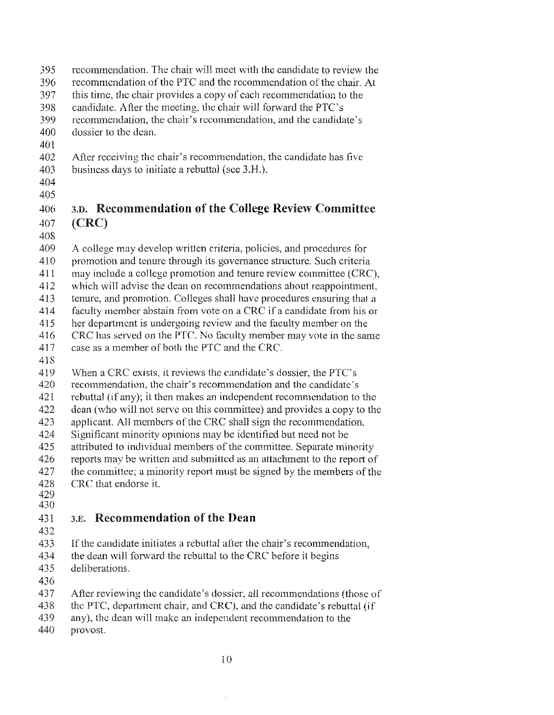- recommendation. The chair will meet with the candidate to review the
- 396 recommendation of the PTC and the recommendation of the chair. At
- this time, the chair provides a copy of each recommendation to the
- candidate. Afler the meeting, the chair will forward the PTC's
- recommendation, the chair's rccommendation, and the candidate's
- dossier to the dean.
- 
- 402 After receiving the chair's recommendation, the candidate has five
- business days to initiate a rebuttal (see 3.H.).
- 

## 3.D. Recommendation of the College Review Committee 407 (CRC)

- A college may develop written criteria, policies, and procedures for
- 410 promotion and tenure through its governance structure. Such criteria
- may include a college promotion and tenure review committee (CRC),
- which will advise the dean on recommendations about reappointment.
- tenure, and promotion. Colleges shall have procedures ensuring that a
- 414 faculty member abstain from vote on a CRC if a candidate from his or
- her department is undergoing review and the faculty member on the
- CRC has served on the PTC. No faculty member may vote in the same
- 417 case as a member of both the PTC and the CRC.
- 
- When a CRC exists, it reviews the candidate's dossier, the PTC's
- recommendation, the chair's recommendation and the eandidate's
- rebuttal (if any); it then makes an independent recommendation to the
- dean (who will not serve on this committee) and provides a copy to the
- 423 applicant. All members of the CRC shall sign the recommendation,
- Significant minority opinions may be identified hut need not be
- 425 attributed to individual members of the committee. Separate minority
- 426 reports may be written and submitted as an attachment to the report of
- 427 the committee; a minority report must be signed by the members of the
- CRC that endorse it.
- 

## 431 3.E. Recommendation of the Dean

- 
- 433 If the candidate initiates a rebuttal after the chair's recommendation,
- 434 the dean will forward the rebuttal to the CRC before it begins
- deliberations.
- 
- After reviewing the candidate's dossier, all recommendations (those of
- 438 the PTC, department chair, and CRC), and the candidate's rebuttal (if
- any), the dean will make an independcnt recommendation to the
- provost.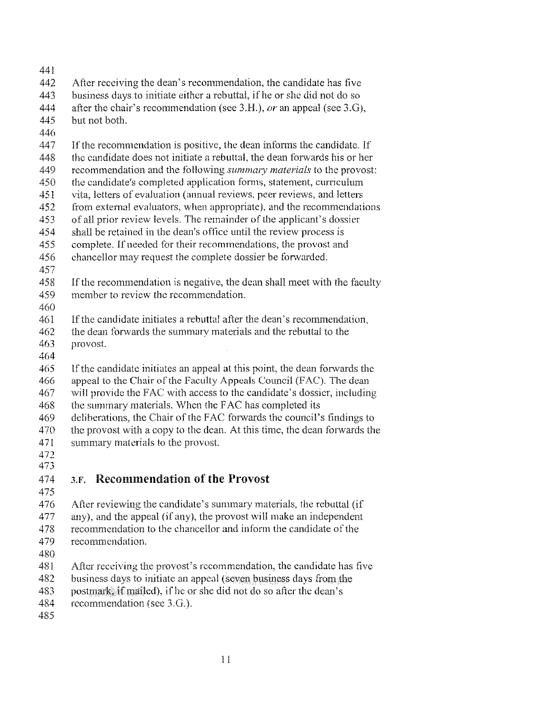- 
- After receiving the dean's recommendation, the candidate has five
- business days to initiate either a rebuttal, ifhe or she did not do so
- after the chair's recommendation (see 3.H.), *or* an appeal (see 3.G),
- but not both.
- 
- 447 If the recommendation is positive, the dean informs the candidate. If
- 448 the candidate does not initiate a rebuttal, the dean forwards his or her
- 449 recommendation and the following *summary materials* to the provost:
- the candidate's completed application forms, statement, curriculum
- 451 vita, letters of evaluation (annual reviews, peer reviews, and letters
- from external evaluators, when appropriate), and the recommendations
- of all prior review levels. The remainder of the applicant's dossier
- 454 shall be retained in the dean's office until the review process is
- complete. If needed for their recommendations, the provost and
- 456 chancellor may request the complete dossier be forwarded.
- 
- If the recommendation is negative, the dean shall meet with the faculty 459 member to review the recommendation.
- 
- Ifthe candidate initiates a rebuttal after the dean's recommendation,
- 462 the dean forwards the summary materials and the rebuttal to the
- provost.
- 
- Ifthe candidate initiates an appeal at this point, the dean forwards the
- 466 appeal to the Chair of the Faculty Appeals Council (FAC). The dean
- will providc FAC with access to the candidate's dossicr, including
- 468 the summary materials. When the FAC has completed its
- 469 deliberations, the Chair of the FAC forwards the council's findings to
- the provost with a copy to the dean. At this time, the dean forwards the
- 471 summary materials to the provost.
- 

## 3.1'. Recommendation of **the Provost**

476 After reviewing the candidate's summary materials, the rebuttal (if

- any), and the appeal (if any), the provost will make an independent
- 478 recommendation to the chancellor and inform the candidate of the
- recommendation.
- 
- 481 After receiving the provost's recommendation, the candidate has five
- 482 business days to initiate an appeal (seven business days from the
- 483 postmark if mailed), if he or she did not do so after the dean's
- recommendation (see 3.G.).
-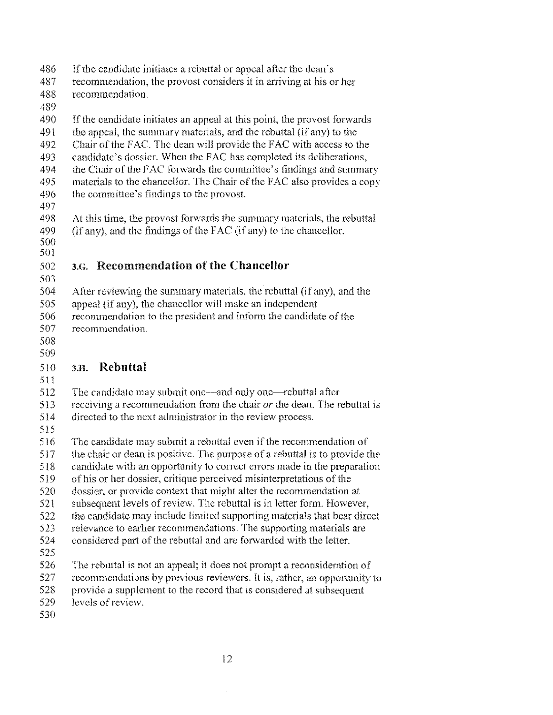- 486 If the candidate initiates a rebuttal or appeal after the dean's
- reeommendation, the provost considers it in arriving at his or her
- recommendation.
- 
- 490 If the candidate initiates an appeal at this point, the provost forwards
- 491 the appeal, the summary materials, and the rebuttal (if any) to the
- 492 Chair of the FAC. The dean will provide the FAC with access to the
- candidate's dossier. When the FAC has eompleted its deliberations,
- 494 the Chair of the FAC forwards the committee's findings and summary
- 495 materials to the chancellor. The Chair of the FAC also provides a copy 496 the committee's findings to the provost.
- 
- At this time, the provost forwards the summary materials, the rebuttal (if any), and the findings of the FAC (if any) to the chancellor.
- 
- SOl

## 3.G. Recommendation **ofthe Chancellor**

- After reviewing the summary materials, the rebuttal (ir any), and the
- appeal (if any), the chancellor will make an independent
- 506 recommendation to the president and inform the candidate of the recommendation.
- 
- 

### 3.H. **Rebuttal**

- 
- 512 The candidate may submit one—and only one—rebuttal after
- receiving a recommendation from the chair *or* the dean. The rebuttal is
- directed to the next administrator in the review process.
- 
- 516 The candidate may submit a rebuttal even if the recommendation of
- the chair or dean is positive. The purpose of a rebuttal is to provide the
- candidate with an opportunity to correct errors made in the preparation
- 519 of his or her dossier, critique perceived misinterpretations of the
- dossier, or provide context that might alter the recommendation at
- 521 subsequent levels of review. The rebuttal is in letter form. However,
- the candidate may include limited supporting materials that bear direct
- relevance to earlier recommendations. The supporting materials are
- considered part of the rebuttal and are forwarded with the letter.
- 
- 526 The rebuttal is not an appeal; it does not prompt a reconsideration of
- recommendations by previous reviewers. It is, rather, an opportunity to
- provide a supplement to the record that is eonsidered at subsequent
- levels ofreview.
-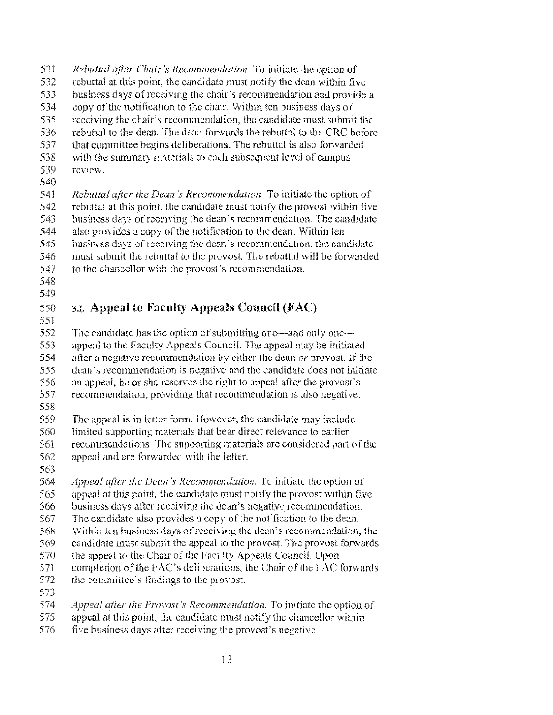- *Rebuttal alier Chair:5 Recommendation.* To initiate the option of
- rebuttal at this point, the candidate must notify the dean within five
- 533 business days of receiving the chair's recommendation and provide a<br>534 copy of the notification to the chair. Within ten business days of
- copy ofthe notification to the chair. Within ten business days of
- 535 receiving the chair's recommendation, the candidate must submit the<br>536 rebuttal to the dean. The dean forwards the rebuttal to the CRC before
- rebuttal to the dean. The dean forwards the rebuttal to the CRC before
- 537 that committee begins deliberations. The rebuttal is also forwarded<br>538 with the summary materials to each subsequent level of campus
- 538 with the summary materials to each subsequent level of campus<br>539 review. review.
- 
- *Rebuttal after the Dean's Recommendation*. To initiate the option of
- rebuttal at this point, the candidate must notify the provost within five
- business days ofreceiving thc dean's recommendation. The candidate
- 544 also provides a copy of the notification to the dean. Within ten business days ofreceiving the dean's recommendation, the candidate
- 
- must submit the rebuttal to the provost. The rebuttal will be forwarded
- to the chancellor with the provost's recommendation.
- 

### 3.1. Appeal **to Faculty** Appeals Council (FAC)

- The candidate has the option of submitting one—and only one—
- appeal to the Faculty Appeals Council. The appeal may be initiated
- 554 after a negative recommendation by either the dean *or* provost. If the
- 555 dean's recommendation is negative and the candidate does not initiate<br>556 an appeal, he or she reserves the right to appeal after the provost's
- an appeal, he or she reserves the right to appeal after the provost's
- recommendation, providing that recommendation is also negative.
- 
- The appeal is in letter form. However, the candidate may include
- limited supporting materials that bear direct relevance to earlier
- recommendations. The supporting materials are considered part of the 562 appeal and are forwarded with the letter.
- 
- *Appeal the Deall 's Reeommendation.* To initiate the option of
- appeal at this point, the candidate must notify the provost within five
- business days after receiving the dean's negative recommendation.
- 567 The candidate also provides a copy of the notification to the dean.
- Within ten business days ofrccciving the dean's recommendation, the
- candidate must submit the appeal to the provost. The provost forwards
- 570 the appeal to the Chair of the Faculty Appeals Council. Upon
- completion of the FAC's deliberations, the Chair of the FAC forwards
- committee's findings to the provost.
- 573<br>574
- *alier the Provost's Recommendation.* To initiate the option of
- appeal at this point, the candidate must notify the chancellor within
- 576 five business days after receiving the provost's negative